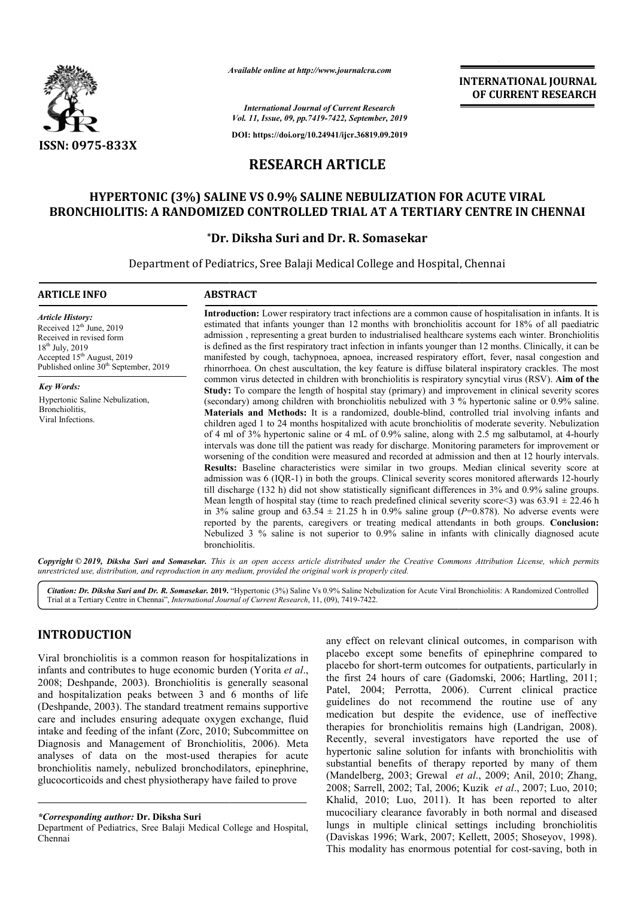

*Available online at http://www.journalcra.com*

**INTERNATIONAL JOURNAL OF CURRENT RESEARCH**

*International Journal of Current Research Vol. 11, Issue, 09, pp.7419-7422, September, 2019*

**DOI: https://doi.org/10.24941/ijcr.36819.09.2019**

# **RESEARCH ARTICLE**

# **HYPERTONIC (3%) SALINE VS 0.9% SALINE NEBULIZATION FOR ACUTE VIRAL 0.9% SALINE BRONCHIOLITIS: A RANDOMIZED CONTROLLED TRIAL AT A TERTIARY CENTRE IN CHENNAI**

## **\*Dr. Diksha Suri and Dr. R. Somasekar Dr.**

Department of Pediatrics, Sree Balaji Medical College and Hospital, Chennai

#### **ARTICLE INFO ABSTRACT**

*Article History:* Received  $12<sup>th</sup>$  June, 2019 Received in revised form 18th July, 2019 Accepted 15<sup>th</sup> August, 2019 Published online  $30<sup>th</sup>$  September, 2019

*Key Words:* Hypertonic Saline Nebulization, Bronchiolitis, Viral Infections.

**Introduction:**  Lower respiratory tract infections are a common cause of hospitalisation in infants. It is estimated that infants younger than 12 months with bronchiolitis account for 18% of all paediatric admission , representing a great burden to industrialised healthca healthcare systems each winter. Bronchiolitis is defined as the first respiratory tract infection in infants younger than 12 months. Clinically, it can be manifested by cough, tachypnoea, apnoea, increased respiratory effort, fever, nasal congestion and rhinorrhoe rhinorrhoea. On chest auscultation, the key feature is diffuse bilateral inspiratory crackles. The most common virus detected in children with bronchiolitis is respiratory syncytial virus (RSV). Aim of the **Study:** To compare the length of hospital stay (primary) and improvement in clinical severity scores (secondary) among children with bronchiolitis nebulized with 3 % hypertonic saline or 0.9% saline. **Materials and Methods:** It is a randomized, double-blind, controlled trial involving infants and children aged 1 to 24 months hospitalized with acute bronchiolitis of moderate severity. of 4 ml of 3% hypertonic saline or 4 mL of 0.9% saline, along with 2.5 mg salbutamol, at 4-hourly intervals was done till the patient was ready for discharge. Monitoring param parameters for improvement or worsening of the condition were measured and recorded at admission and then at 12 hourly intervals. **Results:** Baseline characteristics were similar in two groups. Median clinical severity score at admission was 6 (IQR-1) in both the groups. Clinical severity scores monitored afterwards 12 till discharge (132 h) did not show statistically significant differences in 3% and 0.9% saline groups. Mean length of hospital stay (time to reach predefined clinical severity score  $\leq$ ) was 63.91  $\pm$  22.46 h in 3% saline group and  $63.54 \pm 21.25$  h in 0.9% saline group ( $P=0.878$ ). No adverse events were reported by the parents, caregivers or treating medical attendants in both groups. Conclusion: Nebulized 3 % saline is not superior to 0.9% saline in infants with clinically diagnosed acute bronchiolitis. Introduction: Lower respiratory tract infections are a common cause of hospitalisation in infants. It is estimated that infants younger than 12 months with bronchiolitis account for 18% of all paediatric admission, represe manifested by cough, tachypnoea, apnoea, increased respiratory effort, fever, nasal congestion and<br>rhinorrhoea. On chest auscultation, the key feature is diffuse bilateral inspiratory crackles. The most<br>common virus detect Study: To compare the length of hospital stay (primary) and improvement in clinical severity scores (secondary) among children with bronchiolitis nebulized with 3 % hypertonic saline or 0.9% saline. Materials and Methods: worsening of the condition were measured and recorded at admission and then at 12 hourly intervals.<br>**Results:** Baseline characteristics were similar in two groups. Median clinical severity score at admission was 6 (IQR-1)

Copyright © 2019, Diksha Suri and Somasekar. This is an open access article distributed under the Creative Commons Attribution License, which permits *unrestricted use, distribution, and reproduction in any medium, provided the original work is properly cited.*

Citation: Dr. Diksha Suri and Dr. R. Somasekar. 2019. "Hypertonic (3%) Saline Vs 0.9% Saline Nebulization for Acute Viral Bronchiolitis: A Randomized Controlled Trial at a Tertiary Centre in Chennai", *International Journal of Current Research* , 11, (09), 7419-7422.

## **INTRODUCTION**

Viral bronchiolitis is a common reason for hospitalizations in infants and contributes to huge economic burden (Yorita *et al*., 2008; Deshpande, 2003). Bronchiolitis is generally seasonal and hospitalization peaks between 3 and 6 months of life (Deshpande, 2003). The standard treatment remains supportive care and includes ensuring adequate oxygen exchange, fluid intake and feeding of the infant (Zorc, 2010; Subcommittee on Diagnosis and Management of Bronchiolitis Bronchiolitis, 2006). Meta analyses of data on the most-used therapies for acute bronchiolitis namely, nebulized bronchodilators, epinephrine, glucocorticoids and chest physiotherapy have failed to prove 2003). Bronchiolitis is generally seasonal<br>1 peaks between 3 and 6 months of life<br>1. The standard treatment remains supportive<br>ensuring adequate oxygen exchange, fluid<br>1 of the infant (Zorc, 2010; Subcommittee on

mmon reason for hospitalizations in<br>
placebo except some benefits of epinephrine compared to<br>
huge economic burden (Yorita *et al.*,<br>
placebo for short-term outcomes for outpatients, particularly in<br>
the first 24 hours of placebo except some benefits of epinephrine compared to placebo for short-term outcomes for outpatients, particularly in the first 24 hours of care (Gadomski, 2006; Hartling, 2011; Patel, 2004; Perrotta, 2006 2006). Current clinical practice guidelines do not recommend the routine use of any medication but despite the evidence, use of ineffective guidelines do not recommend the routine use of any medication but despite the evidence, use of ineffective therapies for bronchiolitis remains high (Landrigan, 2008). Recently, several investigators have reported the use of hypertonic saline solution for infants with bronchiolitis with substantial benefits of therapy reported by many of them Recently, several investigators have reported the use of hypertonic saline solution for infants with bronchiolitis with substantial benefits of therapy reported by many of them (Mandelberg, 2003; Grewal *et al.*, 2009; Ani 2008; Sarrell, 2002; Tal, 2006; Tal, 2006; Kuzik *et al*., 2007; Luo, 2010; Khalid, 2010; Luo, 2011). It has been reported to alter mucociliary clearance favorably in both normal and diseased lungs in multiple clinical settings including bronchiolitis (Daviskas 1996; Wark, 2007; Kellett, 2005; Shoseyov, 1998). This modality has enormous potential for cost-saving, both in levant clinical outcomes, in comparison with<br>some benefits of epinephrine compared to<br>term outcomes for outpatients, particularly in<br>s of care (Gadomski, 2006; Hartling, 2011; 2011). It has been reported to alter<br>favorably in both normal and diseased<br>inical settings including bronchiolitis

*<sup>\*</sup>Corresponding author:* **Dr. Diksha Suri** 

Department of Pediatrics, Sree Balaji Medical College and Hospital, Chennai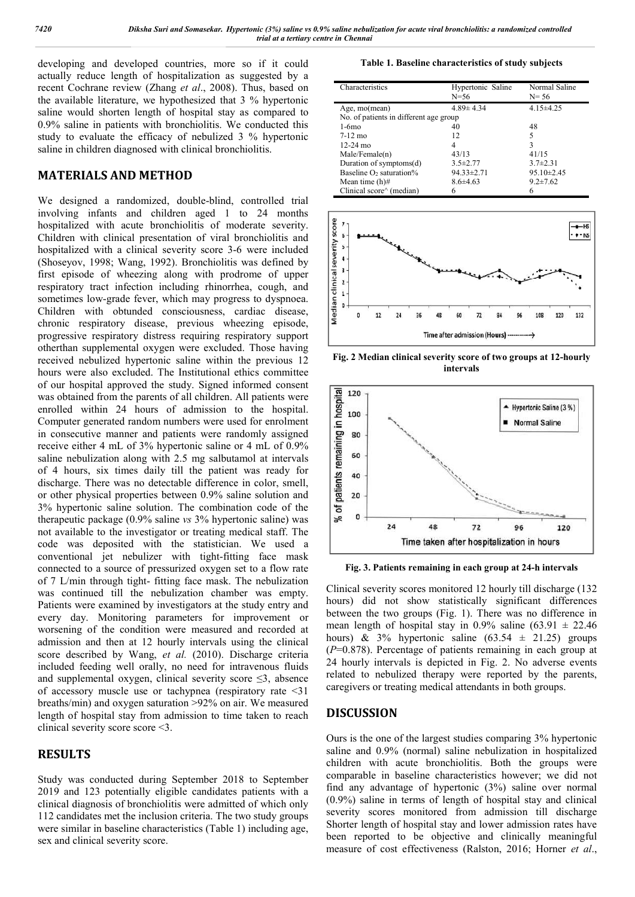developing and developed countries, more so if it could actually reduce length of hospitalization as suggested by a recent Cochrane review (Zhang *et al*., 2008). Thus, based on the available literature, we hypothesized that 3 % hypertonic saline would shorten length of hospital stay as compared to 0.9% saline in patients with bronchiolitis. We conducted this study to evaluate the efficacy of nebulized 3 % hypertonic saline in children diagnosed with clinical bronchiolitis.

# **MATERIALS AND METHOD**

We designed a randomized, double-blind, controlled trial involving infants and children aged 1 to 24 months hospitalized with acute bronchiolitis of moderate severity. Children with clinical presentation of viral bronchiolitis and hospitalized with a clinical severity score 3-6 were included (Shoseyov, 1998; Wang, 1992). Bronchiolitis was defined by first episode of wheezing along with prodrome of upper respiratory tract infection including rhinorrhea, cough, and sometimes low-grade fever, which may progress to dyspnoea. Children with obtunded consciousness, cardiac disease, chronic respiratory disease, previous wheezing episode, progressive respiratory distress requiring respiratory support otherthan supplemental oxygen were excluded. Those having received nebulized hypertonic saline within the previous 12 hours were also excluded. The Institutional ethics committee of our hospital approved the study. Signed informed consent was obtained from the parents of all children. All patients were enrolled within 24 hours of admission to the hospital. Computer generated random numbers were used for enrolment in consecutive manner and patients were randomly assigned receive either 4 mL of 3% hypertonic saline or 4 mL of 0.9% saline nebulization along with 2.5 mg salbutamol at intervals of 4 hours, six times daily till the patient was ready for discharge. There was no detectable difference in color, smell, or other physical properties between 0.9% saline solution and 3% hypertonic saline solution. The combination code of the therapeutic package (0.9% saline *vs* 3% hypertonic saline) was not available to the investigator or treating medical staff. The code was deposited with the statistician. We used a conventional jet nebulizer with tight-fitting face mask connected to a source of pressurized oxygen set to a flow rate of 7 L/min through tight- fitting face mask. The nebulization was continued till the nebulization chamber was empty. Patients were examined by investigators at the study entry and every day. Monitoring parameters for improvement or worsening of the condition were measured and recorded at admission and then at 12 hourly intervals using the clinical score described by Wang, *et al.* (2010). Discharge criteria included feeding well orally, no need for intravenous fluids and supplemental oxygen, clinical severity score  $\leq$ 3, absence of accessory muscle use or tachypnea (respiratory rate <31 breaths/min) and oxygen saturation >92% on air. We measured length of hospital stay from admission to time taken to reach clinical severity score score <3.

# **RESULTS**

Study was conducted during September 2018 to September 2019 and 123 potentially eligible candidates patients with a clinical diagnosis of bronchiolitis were admitted of which only 112 candidates met the inclusion criteria. The two study groups were similar in baseline characteristics (Table 1) including age, sex and clinical severity score.

**Table 1. Baseline characteristics of study subjects**

| Characteristics                        | Hypertonic Saline<br>N=56 | Normal Saline<br>$N = 56$ |
|----------------------------------------|---------------------------|---------------------------|
| Age, mo(mean)                          | $4.89 \pm 4.34$           | $4.15 \pm 4.25$           |
| No. of patients in different age group |                           |                           |
| $1-6$ mo                               | 40                        | 48                        |
| $7-12$ mo                              | 12                        | 5                         |
| $12-24$ mo                             | 4                         | 3                         |
| Male/Female(n)                         | 43/13                     | 41/15                     |
| Duration of symptoms(d)                | $3.5 \pm 2.77$            | $3.7 \pm 2.31$            |
| Baseline $O_2$ saturation%             | $94.33 \pm 2.71$          | $95.10 \pm 2.45$          |
| Mean time $(h)$ #                      | $8.6 \pm 4.63$            | $9.2 \pm 7.62$            |
| Clinical score^ (median)               | 6                         |                           |



**Fig. 2 Median clinical severity score of two groups at 12-hourly intervals**



**Fig. 3. Patients remaining in each group at 24-h intervals**

Clinical severity scores monitored 12 hourly till discharge (132 hours) did not show statistically significant differences between the two groups (Fig. 1). There was no difference in mean length of hospital stay in 0.9% saline  $(63.91 \pm 22.46$ hours) & 3% hypertonic saline  $(63.54 \pm 21.25)$  groups (*P*=0.878). Percentage of patients remaining in each group at 24 hourly intervals is depicted in Fig. 2. No adverse events related to nebulized therapy were reported by the parents, caregivers or treating medical attendants in both groups.

# **DISCUSSION**

Ours is the one of the largest studies comparing 3% hypertonic saline and 0.9% (normal) saline nebulization in hospitalized children with acute bronchiolitis. Both the groups were comparable in baseline characteristics however; we did not find any advantage of hypertonic (3%) saline over normal (0.9%) saline in terms of length of hospital stay and clinical severity scores monitored from admission till discharge Shorter length of hospital stay and lower admission rates have been reported to be objective and clinically meaningful measure of cost effectiveness (Ralston, 2016; Horner *et al*.,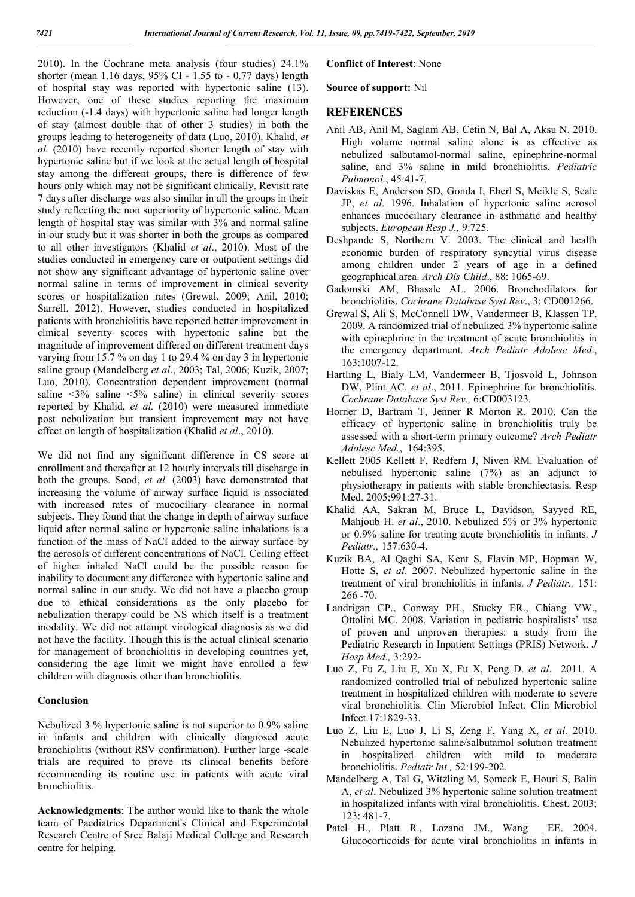2010). In the Cochrane meta analysis (four studies) 24.1% shorter (mean 1.16 days, 95% CI - 1.55 to - 0.77 days) length of hospital stay was reported with hypertonic saline (13). However, one of these studies reporting the maximum reduction (-1.4 days) with hypertonic saline had longer length of stay (almost double that of other 3 studies) in both the groups leading to heterogeneity of data (Luo, 2010). Khalid, *et al.* (2010) have recently reported shorter length of stay with hypertonic saline but if we look at the actual length of hospital stay among the different groups, there is difference of few hours only which may not be significant clinically. Revisit rate 7 days after discharge was also similar in all the groups in their study reflecting the non superiority of hypertonic saline. Mean length of hospital stay was similar with 3% and normal saline in our study but it was shorter in both the groups as compared to all other investigators (Khalid *et al*., 2010). Most of the studies conducted in emergency care or outpatient settings did not show any significant advantage of hypertonic saline over normal saline in terms of improvement in clinical severity scores or hospitalization rates (Grewal, 2009; Anil, 2010; Sarrell, 2012). However, studies conducted in hospitalized patients with bronchiolitis have reported better improvement in clinical severity scores with hypertonic saline but the magnitude of improvement differed on different treatment days varying from 15.7 % on day 1 to 29.4 % on day 3 in hypertonic saline group (Mandelberg *et al*., 2003; Tal, 2006; Kuzik, 2007; Luo, 2010). Concentration dependent improvement (normal saline <3% saline <5% saline) in clinical severity scores reported by Khalid, *et al.* (2010) were measured immediate post nebulization but transient improvement may not have effect on length of hospitalization (Khalid *et al*., 2010).

We did not find any significant difference in CS score at enrollment and thereafter at 12 hourly intervals till discharge in both the groups. Sood, *et al.* (2003) have demonstrated that increasing the volume of airway surface liquid is associated with increased rates of mucociliary clearance in normal subjects. They found that the change in depth of airway surface liquid after normal saline or hypertonic saline inhalations is a function of the mass of NaCl added to the airway surface by the aerosols of different concentrations of NaCl. Ceiling effect of higher inhaled NaCl could be the possible reason for inability to document any difference with hypertonic saline and normal saline in our study. We did not have a placebo group due to ethical considerations as the only placebo for nebulization therapy could be NS which itself is a treatment modality. We did not attempt virological diagnosis as we did not have the facility. Though this is the actual clinical scenario for management of bronchiolitis in developing countries yet, considering the age limit we might have enrolled a few children with diagnosis other than bronchiolitis.

#### **Conclusion**

Nebulized 3 % hypertonic saline is not superior to 0.9% saline in infants and children with clinically diagnosed acute bronchiolitis (without RSV confirmation). Further large -scale trials are required to prove its clinical benefits before recommending its routine use in patients with acute viral bronchiolitis.

**Acknowledgments**: The author would like to thank the whole team of Paediatrics Department's Clinical and Experimental Research Centre of Sree Balaji Medical College and Research centre for helping.

#### **Conflict of Interest**: None

**Source of support:** Nil

### **REFERENCES**

- Anil AB, Anil M, Saglam AB, Cetin N, Bal A, Aksu N. 2010. High volume normal saline alone is as effective as nebulized salbutamol-normal saline, epinephrine-normal saline, and 3% saline in mild bronchiolitis. *Pediatric Pulmonol.*, 45:41-7.
- Daviskas E, Anderson SD, Gonda I, Eberl S, Meikle S, Seale JP, *et al*. 1996. Inhalation of hypertonic saline aerosol enhances mucociliary clearance in asthmatic and healthy subjects. *European Resp J.,* 9:725.
- Deshpande S, Northern V. 2003. The clinical and health economic burden of respiratory syncytial virus disease among children under 2 years of age in a defined geographical area. *Arch Dis Child*., 88: 1065-69.
- Gadomski AM, Bhasale AL. 2006. Bronchodilators for bronchiolitis. *Cochrane Database Syst Rev*., 3: CD001266.
- Grewal S, Ali S, McConnell DW, Vandermeer B, Klassen TP. 2009. A randomized trial of nebulized 3% hypertonic saline with epinephrine in the treatment of acute bronchiolitis in the emergency department. *Arch Pediatr Adolesc Med*., 163:1007-12.
- Hartling L, Bialy LM, Vandermeer B, Tjosvold L, Johnson DW, Plint AC. *et al*., 2011. Epinephrine for bronchiolitis. *Cochrane Database Syst Rev.,* 6:CD003123.
- Horner D, Bartram T, Jenner R Morton R. 2010. Can the efficacy of hypertonic saline in bronchiolitis truly be assessed with a short-term primary outcome? *Arch Pediatr Adolesc Med.*, 164:395.
- Kellett 2005 Kellett F, Redfern J, Niven RM. Evaluation of nebulised hypertonic saline (7%) as an adjunct to physiotherapy in patients with stable bronchiectasis. Resp Med. 2005;991:27-31.
- Khalid AA, Sakran M, Bruce L, Davidson, Sayyed RE, Mahjoub H. *et al*., 2010. Nebulized 5% or 3% hypertonic or 0.9% saline for treating acute bronchiolitis in infants. *J Pediatr.,* 157:630-4.
- Kuzik BA, Al Qaghi SA, Kent S, Flavin MP, Hopman W, Hotte S, *et al*. 2007. Nebulized hypertonic saline in the treatment of viral bronchiolitis in infants. *J Pediatr.,* 151: 266 -70.
- Landrigan CP., Conway PH., Stucky ER., Chiang VW., Ottolini MC. 2008. Variation in pediatric hospitalists' use of proven and unproven therapies: a study from the Pediatric Research in Inpatient Settings (PRIS) Network. *J Hosp Med.,* 3:292-
- Luo Z, Fu Z, Liu E, Xu X, Fu X, Peng D. *et al*. 2011. A randomized controlled trial of nebulized hypertonic saline treatment in hospitalized children with moderate to severe viral bronchiolitis. Clin Microbiol Infect. Clin Microbiol Infect.17:1829-33.
- Luo Z, Liu E, Luo J, Li S, Zeng F, Yang X, *et al*. 2010. Nebulized hypertonic saline/salbutamol solution treatment in hospitalized children with mild to moderate bronchiolitis. *Pediatr Int.,* 52:199-202.
- Mandelberg A, Tal G, Witzling M, Someck E, Houri S, Balin A, *et al*. Nebulized 3% hypertonic saline solution treatment in hospitalized infants with viral bronchiolitis. Chest. 2003; 123: 481-7.
- Patel H., Platt R., Lozano JM., Wang EE. 2004. Glucocorticoids for acute viral bronchiolitis in infants in